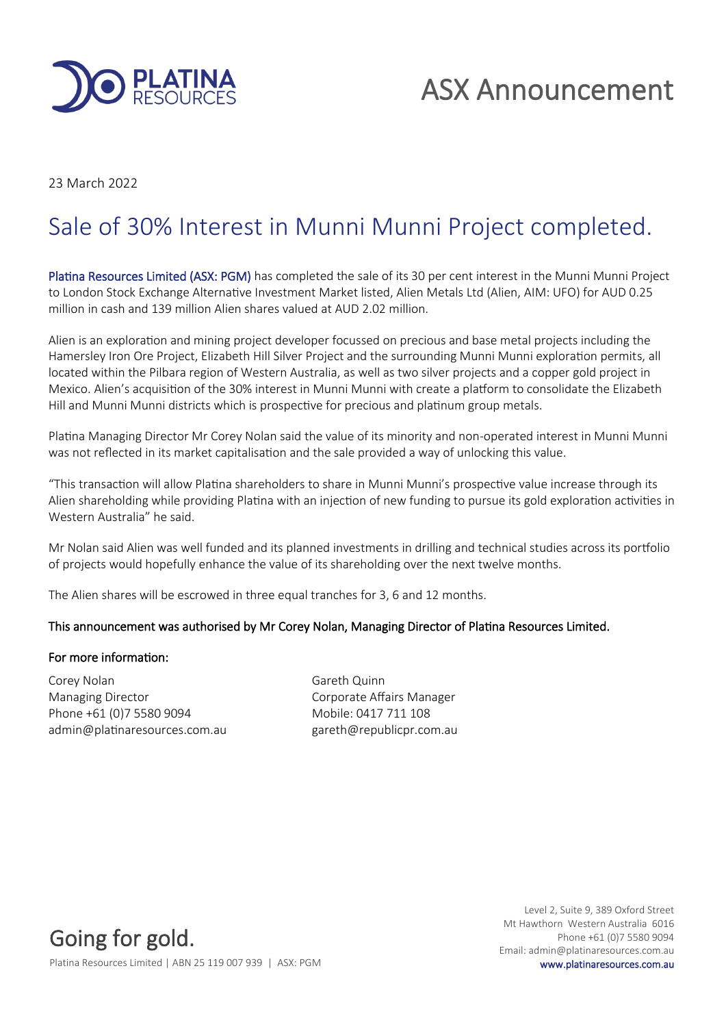

# ASX Announcement

23 March 2022

# Sale of 30% Interest in Munni Munni Project completed.

Platina Resources Limited (ASX: PGM) has completed the sale of its 30 per cent interest in the Munni Munni Project to London Stock Exchange Alternative Investment Market listed, Alien Metals Ltd (Alien, AIM: UFO) for AUD 0.25 million in cash and 139 million Alien shares valued at AUD 2.02 million.

Alien is an exploration and mining project developer focussed on precious and base metal projects including the Hamersley Iron Ore Project, Elizabeth Hill Silver Project and the surrounding Munni Munni exploration permits, all located within the Pilbara region of Western Australia, as well as two silver projects and a copper gold project in Mexico. Alien's acquisition of the 30% interest in Munni Munni with create a platform to consolidate the Elizabeth Hill and Munni Munni districts which is prospective for precious and platinum group metals.

Platina Managing Director Mr Corey Nolan said the value of its minority and non-operated interest in Munni Munni was not reflected in its market capitalisation and the sale provided a way of unlocking this value.

"This transaction will allow Platina shareholders to share in Munni Munni's prospective value increase through its Alien shareholding while providing Platina with an injection of new funding to pursue its gold exploration activities in Western Australia" he said.

Mr Nolan said Alien was well funded and its planned investments in drilling and technical studies across its portfolio of projects would hopefully enhance the value of its shareholding over the next twelve months.

The Alien shares will be escrowed in three equal tranches for 3, 6 and 12 months.

## This announcement was authorised by Mr Corey Nolan, Managing Director of Platina Resources Limited.

## For more information:

Corey Nolan Gareth Quinn Managing Director **Communists** Corporate Affairs Manager Phone +61 (0)7 5580 9094 Mobile: 0417 711 108 admin@platinaresources.com.au gareth@republicpr.com.au

Going for gold. Platina Resources Limited | ABN 25 119 007 939 | ASX: PGM www.platinaresources.com.au

Level 2, Suite 9, 389 Oxford Street Mt Hawthorn Western Australia 6016 Phone +61 (0)7 5580 9094 Email: admin@platinaresources.com.au